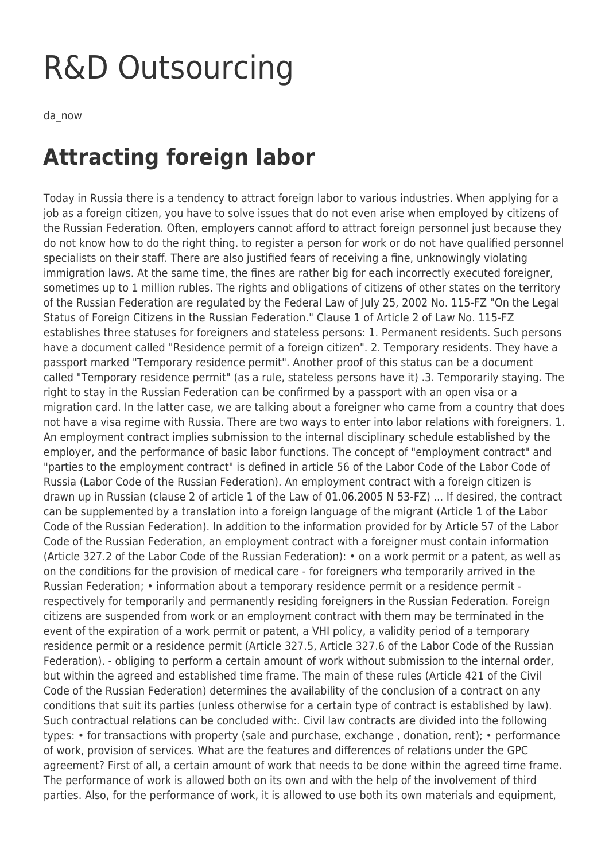## R&D Outsourcing

da\_now

## **Attracting foreign labor**

Today in Russia there is a tendency to attract foreign labor to various industries. When applying for a job as a foreign citizen, you have to solve issues that do not even arise when employed by citizens of the Russian Federation. Often, employers cannot afford to attract foreign personnel just because they do not know how to do the right thing. to register a person for work or do not have qualified personnel specialists on their staff. There are also justified fears of receiving a fine, unknowingly violating immigration laws. At the same time, the fines are rather big for each incorrectly executed foreigner, sometimes up to 1 million rubles. The rights and obligations of citizens of other states on the territory of the Russian Federation are regulated by the Federal Law of July 25, 2002 No. 115-FZ "On the Legal Status of Foreign Citizens in the Russian Federation." Clause 1 of Article 2 of Law No. 115-FZ establishes three statuses for foreigners and stateless persons: 1. Permanent residents. Such persons have a document called "Residence permit of a foreign citizen". 2. Temporary residents. They have a passport marked "Temporary residence permit". Another proof of this status can be a document called "Temporary residence permit" (as a rule, stateless persons have it) .3. Temporarily staying. The right to stay in the Russian Federation can be confirmed by a passport with an open visa or a migration card. In the latter case, we are talking about a foreigner who came from a country that does not have a visa regime with Russia. There are two ways to enter into labor relations with foreigners. 1. An employment contract implies submission to the internal disciplinary schedule established by the employer, and the performance of basic labor functions. The concept of "employment contract" and "parties to the employment contract" is defined in article 56 of the Labor Code of the Labor Code of Russia (Labor Code of the Russian Federation). An employment contract with a foreign citizen is drawn up in Russian (clause 2 of article 1 of the Law of 01.06.2005 N 53-FZ) ... If desired, the contract can be supplemented by a translation into a foreign language of the migrant (Article 1 of the Labor Code of the Russian Federation). In addition to the information provided for by Article 57 of the Labor Code of the Russian Federation, an employment contract with a foreigner must contain information (Article 327.2 of the Labor Code of the Russian Federation): • on a work permit or a patent, as well as on the conditions for the provision of medical care - for foreigners who temporarily arrived in the Russian Federation; • information about a temporary residence permit or a residence permit respectively for temporarily and permanently residing foreigners in the Russian Federation. Foreign citizens are suspended from work or an employment contract with them may be terminated in the event of the expiration of a work permit or patent, a VHI policy, a validity period of a temporary residence permit or a residence permit (Article 327.5, Article 327.6 of the Labor Code of the Russian Federation). - obliging to perform a certain amount of work without submission to the internal order, but within the agreed and established time frame. The main of these rules (Article 421 of the Civil Code of the Russian Federation) determines the availability of the conclusion of a contract on any conditions that suit its parties (unless otherwise for a certain type of contract is established by law). Such contractual relations can be concluded with:. Civil law contracts are divided into the following types: • for transactions with property (sale and purchase, exchange , donation, rent); • performance of work, provision of services. What are the features and differences of relations under the GPC agreement? First of all, a certain amount of work that needs to be done within the agreed time frame. The performance of work is allowed both on its own and with the help of the involvement of third parties. Also, for the performance of work, it is allowed to use both its own materials and equipment,